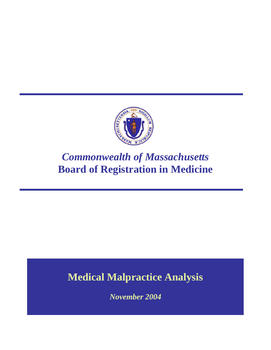

# *Commonwealth of Massachusetts* **Board of Registration in Medicine**

# **Medical Malpractice Analysis**

*November 2004*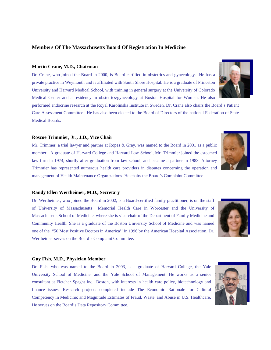#### **Members Of The Massachusetts Board Of Registration In Medicine**

#### **Martin Crane, M.D., Chairman**

Dr. Crane, who joined the Board in 2000, is Board-certified in obstetrics and gynecology. He has a private practice in Weymouth and is affiliated with South Shore Hospital. He is a graduate of Princeton University and Harvard Medical School, with training in general surgery at the University of Colorado Medical Center and a residency in obstetrics/gynecology at Boston Hospital for Women. He also

performed endocrine research at the Royal Karolinska Institute in Sweden. Dr. Crane also chairs the Board's Patient Care Assessment Committee. He has also been elected to the Board of Directors of the national Federation of State Medical Boards.

#### **Roscoe Trimmier, Jr., J.D., Vice Chair**

Mr. Trimmer, a trial lawyer and partner at Ropes & Gray, was named to the Board in 2001 as a public member. A graduate of Harvard College and Harvard Law School, Mr. Trimmier joined the esteemed law firm in 1974, shortly after graduation from law school, and became a partner in 1983. Attorney Trimmier has represented numerous health care providers in disputes concerning the operation and management of Health Maintenance Organizations. He chairs the Board's Complaint Committee.

#### **Randy Ellen Wertheimer, M.D., Secretary**

Dr. Wertheimer, who joined the Board in 2002, is a Board-certified family practitioner, is on the staff of University of Massachusetts Memorial Health Care in Worcester and the University of Massachusetts School of Medicine, where she is vice-chair of the Department of Family Medicine and Community Health. She is a graduate of the Boston University School of Medicine and was named one of the "50 Most Positive Doctors in America'' in 1996 by the American Hospital Association. Dr. Wertheimer serves on the Board's Complaint Committee.

#### **Guy Fish, M.D., Physician Member**

Dr. Fish, who was named to the Board in 2003, is a graduate of Harvard College, the Yale University School of Medicine, and the Yale School of Management. He works as a senior consultant at Fletcher Spaght Inc., Boston, with interests in health care policy, biotechnology and finance issues. Research projects completed include The Economic Rationale for Cultural Competency in Medicine; and Magnitude Estimates of Fraud, Waste, and Abuse in U.S. Healthcare. He serves on the Board's Data Repository Committee.





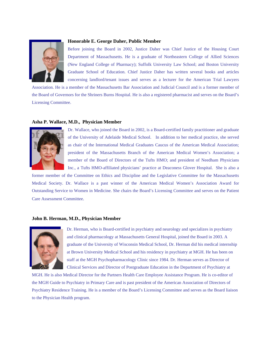

#### **Honorable E. George Daher, Public Member**

Before joining the Board in 2002, Justice Daher was Chief Justice of the Housing Court Department of Massachusetts. He is a graduate of Northeastern College of Allied Sciences (New England College of Pharmacy); Suffolk University Law School; and Boston University Graduate School of Education. Chief Justice Daher has written several books and articles concerning landlord/tenant issues and serves as a lecturer for the American Trial Lawyers

Association. He is a member of the Massachusetts Bar Association and Judicial Council and is a former member of the Board of Governors for the Shriners Burns Hospital. He is also a registered pharmacist and serves on the Board's Licensing Committee.

#### **Asha P. Wallace, M.D., Physician Member**



Dr. Wallace, who joined the Board in 2002, is a Board-certified family practitioner and graduate of the University of Adelaide Medical School. In addition to her medical practice, she served as chair of the International Medical Graduates Caucus of the American Medical Association; president of the Massachusetts Branch of the American Medical Women's Association; a member of the Board of Directors of the Tufts HMO; and president of Needham Physicians Inc., a Tufts HMO-affiliated physicians' practice at Deaconess Glover Hospital. She is also a

former member of the Committee on Ethics and Discipline and the Legislative Committee for the Massachusetts Medical Society. Dr. Wallace is a past winner of the American Medical Women's Association Award for Outstanding Service to Women in Medicine. She chairs the Board's Licensing Committee and serves on the Patient Care Assessment Committee.

#### **John B. Herman, M.D., Physician Member**



Dr. Herman, who is Board-certified in psychiatry and neurology and specializes in psychiatry and clinical pharmacology at Massachusetts General Hospital, joined the Board in 2003. A graduate of the University of Wisconsin Medical School, Dr. Herman did his medical internship at Brown University Medical School and his residency in psychiatry at MGH. He has been on staff at the MGH Psychopharmacology Clinic since 1984. Dr. Herman serves as Director of Clinical Services and Director of Postgraduate Education in the Department of Psychiatry at

MGH. He is also Medical Director for the Partners Health Care Employee Assistance Program. He is co-editor of the MGH Guide to Psychiatry in Primary Care and is past president of the American Association of Directors of Psychiatry Residence Training. He is a member of the Board's Licensing Committee and serves as the Board liaison to the Physician Health program.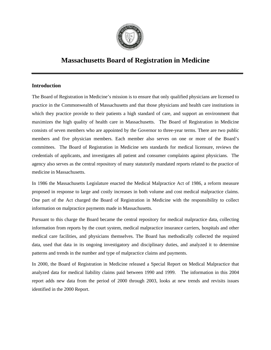

# **Massachusetts Board of Registration in Medicine**

# **Introduction**

The Board of Registration in Medicine's mission is to ensure that only qualified physicians are licensed to practice in the Commonwealth of Massachusetts and that those physicians and health care institutions in which they practice provide to their patients a high standard of care, and support an environment that maximizes the high quality of health care in Massachusetts. The Board of Registration in Medicine consists of seven members who are appointed by the Governor to three-year terms. There are two public members and five physician members. Each member also serves on one or more of the Board's committees. The Board of Registration in Medicine sets standards for medical licensure, reviews the credentials of applicants, and investigates all patient and consumer complaints against physicians. The agency also serves as the central repository of many statutorily mandated reports related to the practice of medicine in Massachusetts.

In 1986 the Massachusetts Legislature enacted the Medical Malpractice Act of 1986, a reform measure proposed in response to large and costly increases in both volume and cost medical malpractice claims. One part of the Act charged the Board of Registration in Medicine with the responsibility to collect information on malpractice payments made in Massachusetts.

Pursuant to this charge the Board became the central repository for medical malpractice data, collecting information from reports by the court system, medical malpractice insurance carriers, hospitals and other medical care facilities, and physicians themselves. The Board has methodically collected the required data, used that data in its ongoing investigatory and disciplinary duties, and analyzed it to determine patterns and trends in the number and type of malpractice claims and payments.

In 2000, the Board of Registration in Medicine released a Special Report on Medical Malpractice that analyzed data for medical liability claims paid between 1990 and 1999. The information in this 2004 report adds new data from the period of 2000 through 2003, looks at new trends and revisits issues identified in the 2000 Report.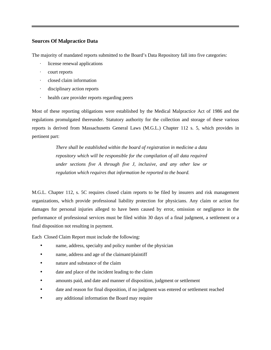# **Sources Of Malpractice Data**

The majority of mandated reports submitted to the Board's Data Repository fall into five categories:

- license renewal applications
- · court reports
- · closed claim information
- · disciplinary action reports
- · health care provider reports regarding peers

Most of these reporting obligations were established by the Medical Malpractice Act of 1986 and the regulations promulgated thereunder. Statutory authority for the collection and storage of these various reports is derived from Massachusetts General Laws (M.G.L.) Chapter 112 s. 5, which provides in pertinent part:

> *There shall be established within the board of registration in medicine a data repository which will be responsible for the compilation of all data required under sections five A through five J, inclusive, and any other law or regulation which requires that information be reported to the board.*

M.G.L. Chapter 112, s. 5C requires closed claim reports to be filed by insurers and risk management organizations, which provide professional liability protection for physicians. Any claim or action for damages for personal injuries alleged to have been caused by error, omission or negligence in the performance of professional services must be filed within 30 days of a final judgment, a settlement or a final disposition not resulting in payment.

Each Closed Claim Report must include the following:

- name, address, specialty and policy number of the physician
- name, address and age of the claimant/plaintiff
- nature and substance of the claim
- date and place of the incident leading to the claim
- amounts paid, and date and manner of disposition, judgment or settlement
- date and reason for final disposition, if no judgment was entered or settlement reached
- any additional information the Board may require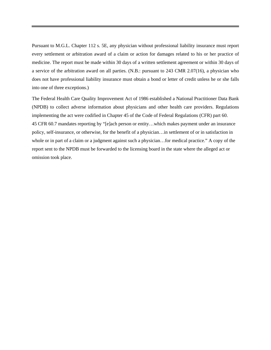Pursuant to M.G.L. Chapter 112 s. 5E, any physician without professional liability insurance must report every settlement or arbitration award of a claim or action for damages related to his or her practice of medicine. The report must be made within 30 days of a written settlement agreement or within 30 days of a service of the arbitration award on all parties. (N.B.: pursuant to 243 CMR 2.07(16), a physician who does not have professional liability insurance must obtain a bond or letter of credit unless he or she falls into one of three exceptions.)

The Federal Health Care Quality Improvement Act of 1986 established a National Practitioner Data Bank (NPDB) to collect adverse information about physicians and other health care providers. Regulations implementing the act were codified in Chapter 45 of the Code of Federal Regulations (CFR) part 60. 45 CFR 60.7 mandates reporting by "[e]ach person or entity…which makes payment under an insurance policy, self-insurance, or otherwise, for the benefit of a physician…in settlement of or in satisfaction in whole or in part of a claim or a judgment against such a physician...for medical practice." A copy of the report sent to the NPDB must be forwarded to the licensing board in the state where the alleged act or omission took place.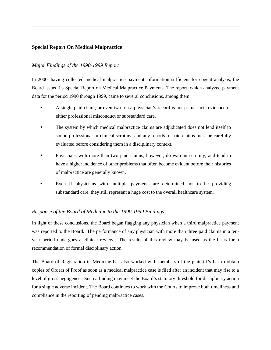# **Special Report On Medical Malpractice**

# *Major Findings of the 1990-1999 Report*

In 2000, having collected medical malpractice payment information sufficient for cogent analysis, the Board issued its Special Report on Medical Malpractice Payments. The report, which analyzed payment data for the period 1990 through 1999, came to several conclusions, among them:

- A single paid claim, or even two, on a physician's record is not prima facie evidence of either professional misconduct or substandard care.
- The system by which medical malpractice claims are adjudicated does not lend itself to sound professional or clinical scrutiny, and any reports of paid claims must be carefully evaluated before considering them in a disciplinary context.
- Physicians with more than two paid claims, however, do warrant scrutiny, and tend to have a higher incidence of other problems that often become evident before their histories of malpractice are generally known.
- Even if physicians with multiple payments are determined not to be providing substandard care, they still represent a huge cost to the overall healthcare system.

# *Response of the Board of Medicine to the 1990-1999 Findings*

In light of these conclusions, the Board began flagging any physician when a third malpractice payment was reported to the Board. The performance of any physician with more than three paid claims in a tenyear period undergoes a clinical review. The results of this review may be used as the basis for a recommendation of formal disciplinary action.

The Board of Registration in Medicine has also worked with members of the plaintiff's bar to obtain copies of Orders of Proof as soon as a medical malpractice case is filed after an incident that may rise to a level of gross negligence. Such a finding may meet the Board's statutory threshold for disciplinary action for a single adverse incident. The Board continues to work with the Courts to improve both timeliness and compliance in the reporting of pending malpractice cases.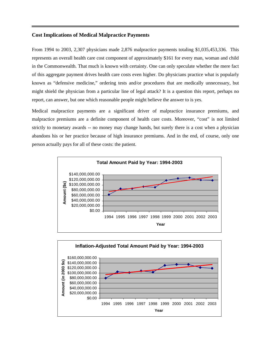#### **Cost Implications of Medical Malpractice Payments**

From 1994 to 2003, 2,307 physicians made 2,876 malpractice payments totaling \$1,035,453,336. This represents an overall health care cost component of approximately \$161 for every man, woman and child in the Commonwealth. That much is known with certainty. One can only speculate whether the mere fact of this aggregate payment drives health care costs even higher. Do physicians practice what is popularly known as "defensive medicine," ordering tests and/or procedures that are medically unnecessary, but might shield the physician from a particular line of legal attack? It is a question this report, perhaps no report, can answer, but one which reasonable people might believe the answer to is yes.

Medical malpractice payments are a significant driver of malpractice insurance premiums, and malpractice premiums are a definite component of health care costs. Moreover, "cost" is not limited strictly to monetary awards -- no money may change hands, but surely there is a cost when a physician abandons his or her practice because of high insurance premiums. And in the end, of course, only one person actually pays for all of these costs: the patient.



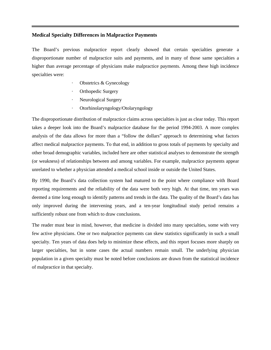#### **Medical Specialty Differences in Malpractice Payments**

The Board's previous malpractice report clearly showed that certain specialties generate a disproportionate number of malpractice suits and payments, and in many of those same specialties a higher than average percentage of physicians make malpractice payments. Among these high incidence specialties were:

- Obstetrics & Gynecology
- Orthopedic Surgery
- Neurological Surgery
- · Otorhinolaryngology/Otolaryngology

The disproportionate distribution of malpractice claims across specialties is just as clear today. This report takes a deeper look into the Board's malpractice database for the period 1994-2003. A more complex analysis of the data allows for more than a "follow the dollars" approach to determining what factors affect medical malpractice payments. To that end, in addition to gross totals of payments by specialty and other broad demographic variables, included here are other statistical analyses to demonstrate the strength (or weakness) of relationships between and among variables. For example, malpractice payments appear unrelated to whether a physician attended a medical school inside or outside the United States.

By 1990, the Board's data collection system had matured to the point where compliance with Board reporting requirements and the reliability of the data were both very high. At that time, ten years was deemed a time long enough to identify patterns and trends in the data. The quality of the Board's data has only improved during the intervening years, and a ten-year longitudinal study period remains a sufficiently robust one from which to draw conclusions.

The reader must bear in mind, however, that medicine is divided into many specialties, some with very few active physicians. One or two malpractice payments can skew statistics significantly in such a small specialty. Ten years of data does help to minimize these effects, and this report focuses more sharply on larger specialties, but in some cases the actual numbers remain small. The underlying physician population in a given specialty must be noted before conclusions are drawn from the statistical incidence of malpractice in that specialty.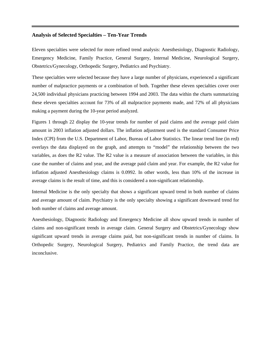#### **Analysis of Selected Specialties – Ten-Year Trends**

Eleven specialties were selected for more refined trend analysis: Anesthesiology, Diagnostic Radiology, Emergency Medicine, Family Practice, General Surgery, Internal Medicine, Neurological Surgery, Obstetrics/Gynecology, Orthopedic Surgery, Pediatrics and Psychiatry.

These specialties were selected because they have a large number of physicians, experienced a significant number of malpractice payments or a combination of both. Together these eleven specialties cover over 24,500 individual physicians practicing between 1994 and 2003. The data within the charts summarizing these eleven specialties account for 73% of all malpractice payments made, and 72% of all physicians making a payment during the 10-year period analyzed.

Figures 1 through 22 display the 10-year trends for number of paid claims and the average paid claim amount in 2003 inflation adjusted dollars. The inflation adjustment used is the standard Consumer Price Index (CPI) from the U.S. Department of Labor, Bureau of Labor Statistics. The linear trend line (in red) overlays the data displayed on the graph, and attempts to "model" the relationship between the two variables, as does the R2 value. The R2 value is a measure of association between the variables, in this case the number of claims and year, and the average paid claim and year. For example, the R2 value for inflation adjusted Anesthesiology claims is 0.0992. In other words, less than 10% of the increase in average claims is the result of time, and this is considered a non-significant relationship.

Internal Medicine is the only specialty that shows a significant upward trend in both number of claims and average amount of claim. Psychiatry is the only specialty showing a significant downward trend for both number of claims and average amount.

Anesthesiology, Diagnostic Radiology and Emergency Medicine all show upward trends in number of claims and non-significant trends in average claim. General Surgery and Obstetrics/Gynecology show significant upward trends in average claims paid, but non-significant trends in number of claims. In Orthopedic Surgery, Neurological Surgery, Pediatrics and Family Practice, the trend data are inconclusive.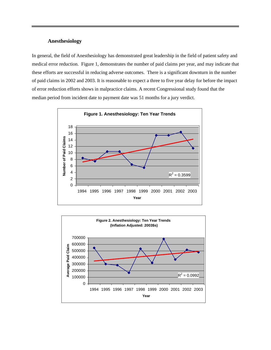#### **Anesthesiology**

In general, the field of Anesthesiology has demonstrated great leadership in the field of patient safety and medical error reduction. Figure 1, demonstrates the number of paid claims per year, and may indicate that these efforts are successful in reducing adverse outcomes. There is a significant downturn in the number of paid claims in 2002 and 2003. It is reasonable to expect a three to five year delay for before the impact of error reduction efforts shows in malpractice claims. A recent Congressional study found that the median period from incident date to payment date was 51 months for a jury verdict.



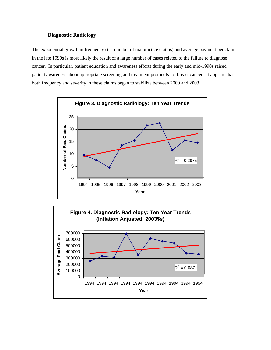# **Diagnostic Radiology**

The exponential growth in frequency (i.e. number of malpractice claims) and average payment per claim in the late 1990s is most likely the result of a large number of cases related to the failure to diagnose cancer. In particular, patient education and awareness efforts during the early and mid-1990s raised patient awareness about appropriate screening and treatment protocols for breast cancer. It appears that both frequency and severity in these claims began to stabilize between 2000 and 2003.



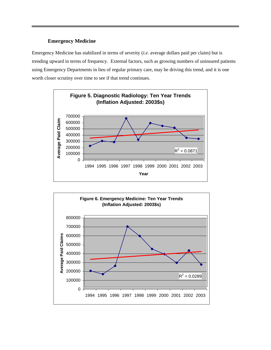# **Emergency Medicine**

Emergency Medicine has stabilized in terms of severity (*i.e*. average dollars paid per claim) but is trending upward in terms of frequency. External factors, such as growing numbers of uninsured patients using Emergency Departments in lieu of regular primary care, may be driving this trend, and it is one worth closer scrutiny over time to see if that trend continues.



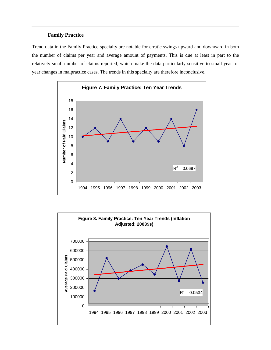# **Family Practice**

Trend data in the Family Practice specialty are notable for erratic swings upward and downward in both the number of claims per year and average amount of payments. This is due at least in part to the relatively small number of claims reported, which make the data particularly sensitive to small year-toyear changes in malpractice cases. The trends in this specialty are therefore inconclusive.



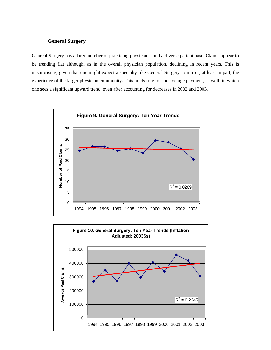#### **General Surgery**

General Surgery has a large number of practicing physicians, and a diverse patient base. Claims appear to be trending flat although, as in the overall physician population, declining in recent years. This is unsurprising, given that one might expect a specialty like General Surgery to mirror, at least in part, the experience of the larger physician community. This holds true for the average payment, as well, in which one sees a significant upward trend, even after accounting for decreases in 2002 and 2003.



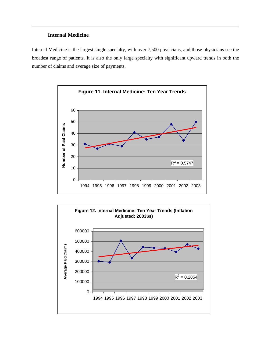# **Internal Medicine**

Internal Medicine is the largest single specialty, with over 7,500 physicians, and those physicians see the broadest range of patients. It is also the only large specialty with significant upward trends in both the number of claims and average size of payments.



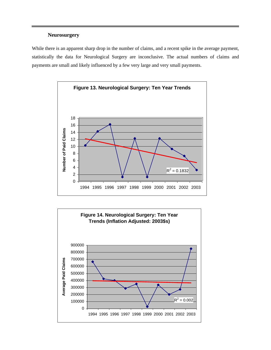# **Neurosurgery**

While there is an apparent sharp drop in the number of claims, and a recent spike in the average payment, statistically the data for Neurological Surgery are inconclusive. The actual numbers of claims and payments are small and likely influenced by a few very large and very small payments.



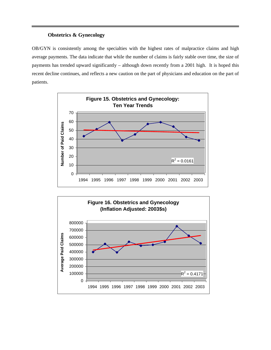# **Obstetrics & Gynecology**

OB/GYN is consistently among the specialties with the highest rates of malpractice claims and high average payments. The data indicate that while the number of claims is fairly stable over time, the size of payments has trended upward significantly – although down recently from a 2001 high. It is hoped this recent decline continues, and reflects a new caution on the part of physicians and education on the part of patients.



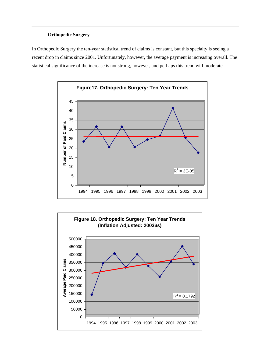# **Orthopedic Surgery**

In Orthopedic Surgery the ten-year statistical trend of claims is constant, but this specialty is seeing a recent drop in claims since 2001. Unfortunately, however, the average payment is increasing overall. The statistical significance of the increase is not strong, however, and perhaps this trend will moderate.



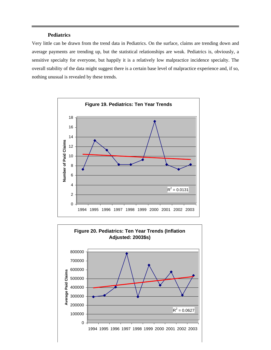# **Pediatrics**

Very little can be drawn from the trend data in Pediatrics. On the surface, claims are trending down and average payments are trending up, but the statistical relationships are weak. Pediatrics is, obviously, a sensitive specialty for everyone, but happily it is a relatively low malpractice incidence specialty. The overall stability of the data might suggest there is a certain base level of malpractice experience and, if so, nothing unusual is revealed by these trends.



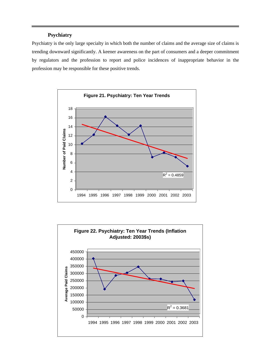# **Psychiatry**

Psychiatry is the only large specialty in which both the number of claims and the average size of claims is trending downward significantly. A keener awareness on the part of consumers and a deeper commitment by regulators and the profession to report and police incidences of inappropriate behavior in the profession may be responsible for these positive trends.



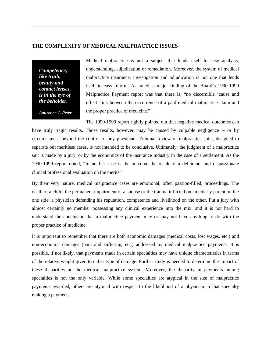#### **THE COMPLEXITY OF MEDICAL MALPRACTICE ISSUES**

*Competence, like truth, beauty and contact lenses, is in the eye of the beholder.* 

Medical malpractice is not a subject that lends itself to easy analysis, understanding, adjudication or remediation. Moreover, the system of medical malpractice insurance, investigation and adjudication is not one that lends itself to easy reform. As noted, a major finding of the Board's 1990-1999 Malpractice Payment report was that there is, "no discernible 'cause and effect' link between the occurrence of a paid medical malpractice claim and the proper practice of medicine."

*Laurence J. Peter*

The 1990-1999 report rightly pointed out that negative medical outcomes can have truly tragic results. Those results, however, may be caused by culpable negligence -- or by circumstances beyond the control of any physician. Tribunal review of malpractice suits, designed to separate out meritless cases, is not intended to be conclusive. Ultimately, the judgment of a malpractice suit is made by a jury, or by the economics of the insurance industry in the case of a settlement. As the 1990-1999 report noted, "In neither case is the outcome the result of a deliberate and dispassionate clinical professional evaluation on the merits."

By their very nature, medical malpractice cases are emotional, often passion-filled, proceedings. The death of a child, the permanent impairment of a spouse or the trauma inflicted on an elderly parent on the one side; a physician defending his reputation, competence and livelihood on the other. Put a jury with almost certainly no member possessing any clinical experience into the mix, and it is not hard to understand the conclusion that a malpractice payment may or may not have anything to do with the proper practice of medicine.

It is important to remember that there are both economic damages (medical costs, lost wages, etc.) and non-economic damages (pain and suffering, etc.) addressed by medical malpractice payments. It is possible, if not likely, that payments made in certain specialties may have unique characteristics in terms of the relative weight given to either type of damage. Further study is needed to determine the impact of these disparities on the medical malpractice system. Moreover, the disparity in payments among specialties is not the only variable. While some specialties are atypical in the size of malpractice payments awarded, others are atypical with respect to the likelihood of a physician in that specialty making a payment.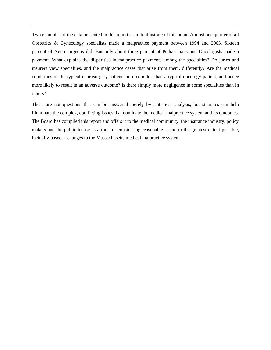Two examples of the data presented in this report seem to illustrate of this point. Almost one quarter of all Obstetrics & Gynecology specialists made a malpractice payment between 1994 and 2003. Sixteen percent of Neurosurgeons did. But only about three percent of Pediatricians and Oncologists made a payment. What explains the disparities in malpractice payments among the specialties? Do juries and insurers view specialties, and the malpractice cases that arise from them, differently? Are the medical conditions of the typical neurosurgery patient more complex than a typical oncology patient, and hence more likely to result in an adverse outcome? Is there simply more negligence in some specialties than in others?

These are not questions that can be answered merely by statistical analysis, but statistics can help illuminate the complex, conflicting issues that dominate the medical malpractice system and its outcomes. The Board has compiled this report and offers it to the medical community, the insurance industry, policy makers and the public to use as a tool for considering reasonable -- and to the greatest extent possible, factually-based -- changes to the Massachusetts medical malpractice system.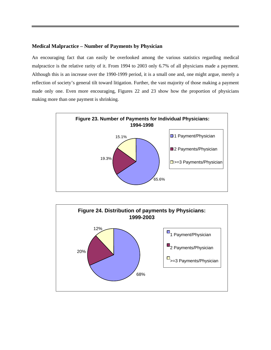# **Medical Malpractice – Number of Payments by Physician**

An encouraging fact that can easily be overlooked among the various statistics regarding medical malpractice is the relative rarity of it. From 1994 to 2003 only 6.7% of all physicians made a payment. Although this is an increase over the 1990-1999 period, it is a small one and, one might argue, merely a reflection of society's general tilt toward litigation. Further, the vast majority of those making a payment made only one. Even more encouraging, Figures 22 and 23 show how the proportion of physicians making more than one payment is shrinking.



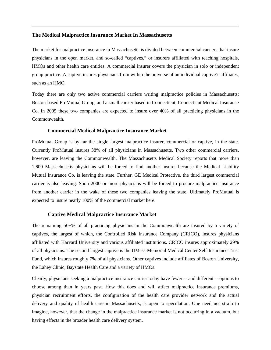#### **The Medical Malpractice Insurance Market In Massachusetts**

The market for malpractice insurance in Massachusetts is divided between commercial carriers that insure physicians in the open market, and so-called "captives," or insurers affiliated with teaching hospitals, HMOs and other health care entities. A commercial insurer covers the physician in solo or independent group practice. A captive insures physicians from within the universe of an individual captive's affiliates, such as an HMO.

Today there are only two active commercial carriers writing malpractice policies in Massachusetts: Boston-based ProMutual Group, and a small carrier based in Connecticut, Connecticut Medical Insurance Co. In 2005 these two companies are expected to insure over 40% of all practicing physicians in the Commonwealth.

#### **Commercial Medical Malpractice Insurance Market**

ProMutual Group is by far the single largest malpractice insurer, commercial or captive, in the state. Currently ProMutual insures 38% of all physicians in Massachusetts. Two other commercial carriers, however, are leaving the Commonwealth. The Massachusetts Medical Society reports that more than 1,600 Massachusetts physicians will be forced to find another insurer because the Medical Liability Mutual Insurance Co. is leaving the state. Further, GE Medical Protective, the third largest commercial carrier is also leaving. Soon 2000 or more physicians will be forced to procure malpractice insurance from another carrier in the wake of these two companies leaving the state. Ultimately ProMutual is expected to insure nearly 100% of the commercial market here.

#### **Captive Medical Malpractice Insurance Market**

The remaining 50+% of all practicing physicians in the Commonwealth are insured by a variety of captives, the largest of which, the Controlled Risk Insurance Company (CRICO), insures physicians affiliated with Harvard University and various affiliated institutions. CRICO insures approximately 29% of all physicians. The second largest captive is the UMass-Memorial Medical Center Self-Insurance Trust Fund, which insures roughly 7% of all physicians. Other captives include affiliates of Boston University, the Lahey Clinic, Baystate Health Care and a variety of HMOs.

Clearly, physicians seeking a malpractice insurance carrier today have fewer -- and different -- options to choose among than in years past. How this does and will affect malpractice insurance premiums, physician recruitment efforts, the configuration of the health care provider network and the actual delivery and quality of health care in Massachusetts, is open to speculation. One need not strain to imagine, however, that the change in the malpractice insurance market is not occurring in a vacuum, but having effects in the broader health care delivery system.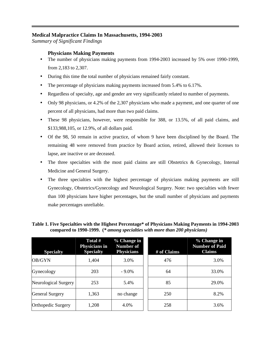# **Medical Malpractice Claims In Massachusetts, 1994-2003**

*Summary of Significant Findings*

# **Physicians Making Payments**

- The number of physicians making payments from 1994-2003 increased by 5% over 1990-1999, from 2,183 to 2,307.
- During this time the total number of physicians remained fairly constant.
- The percentage of physicians making payments increased from 5.4% to 6.17%.
- Regardless of specialty, age and gender are very significantly related to number of payments.
- Only 98 physicians, or 4.2% of the 2,307 physicians who made a payment, and one quarter of one percent of all physicians, had more than two paid claims.
- These 98 physicians, however, were responsible for 388, or 13.5%, of all paid claims, and \$133,988,105, or 12.9%, of all dollars paid.
- Of the 98, 50 remain in active practice, of whom 9 have been disciplined by the Board. The remaining 48 were removed from practice by Board action, retired, allowed their licenses to lapse, are inactive or are deceased.
- The three specialties with the most paid claims are still Obstetrics & Gynecology, Internal Medicine and General Surgery.
- The three specialties with the highest percentage of physicians making payments are still Gynecology, Obstetrics/Gynecology and Neurological Surgery. Note: two specialties with fewer than 100 physicians have higher percentages, but the small number of physicians and payments make percentages unreliable.

| <b>Specialty</b>       | Total #<br>Physicians in<br><b>Specialty</b> | % Change in<br><b>Number of</b><br><b>Physicians</b> | # of Claims | % Change in<br><b>Number of Paid</b><br><b>Claims</b> |
|------------------------|----------------------------------------------|------------------------------------------------------|-------------|-------------------------------------------------------|
| OB/GYN                 | 1,404                                        | 3.0%                                                 | 476         | 3.0%                                                  |
| Gynecology             | 203                                          | $-9.0\%$                                             | 64          | 33.0%                                                 |
| Neurological Surgery   | 253                                          | 5.4%                                                 | 85          | 29.0%                                                 |
| <b>General Surgery</b> | 1,363                                        | no change                                            | 250         | 8.2%                                                  |
| Orthopedic Surgery     | 1,208                                        | 4.0%                                                 | 258         | 3.6%                                                  |

# **Table 1. Five Specialties with the Highest Percentage\* of Physicians Making Payments in 1994-2003 compared to 1990-1999. (***\* among specialties with more than 200 physicians)*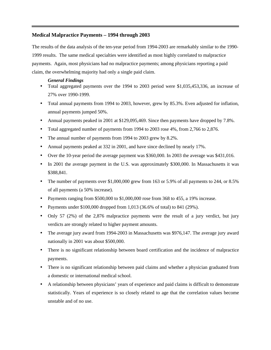### **Medical Malpractice Payments – 1994 through 2003**

The results of the data analysis of the ten-year period from 1994-2003 are remarkably similar to the 1990- 1999 results. The same medical specialties were identified as most highly correlated to malpractice payments. Again, most physicians had no malpractice payments; among physicians reporting a paid claim, the overwhelming majority had only a single paid claim.

#### *General Findings*

- Total aggregated payments over the 1994 to 2003 period were \$1,035,453,336, an increase of 27% over 1990-1999.
- Total annual payments from 1994 to 2003, however, grew by 85.3%. Even adjusted for inflation, annual payments jumped 50%.
- Annual payments peaked in 2001 at \$129,095,469. Since then payments have dropped by 7.8%.
- Total aggregated number of payments from 1994 to 2003 rose 4%, from 2,766 to 2,876.
- The annual number of payments from 1994 to 2003 grew by 8.2%.
- Annual payments peaked at 332 in 2001, and have since declined by nearly 17%.
- Over the 10-year period the average payment was \$360,000. In 2003 the average was \$431,016.
- In 2001 the average payment in the U.S. was approximately \$300,000. In Massachusetts it was \$388,841.
- The number of payments over  $$1,000,000$  grew from 163 or 5.9% of all payments to 244, or 8.5% of all payments (a 50% increase).
- Payments ranging from \$500,000 to \$1,000,000 rose from 368 to 455, a 19% increase.
- Payments under  $$100,000$  dropped from 1,013 (36.6% of total) to 841 (29%).
- Only 57 (2%) of the 2,876 malpractice payments were the result of a jury verdict, but jury verdicts are strongly related to higher payment amounts.
- The average jury award from 1994-2003 in Massachusetts was \$976,147. The average jury award nationally in 2001 was about \$500,000.
- There is no significant relationship between board certification and the incidence of malpractice payments.
- There is no significant relationship between paid claims and whether a physician graduated from a domestic or international medical school.
- A relationship between physicians' years of experience and paid claims is difficult to demonstrate statistically. Years of experience is so closely related to age that the correlation values become unstable and of no use.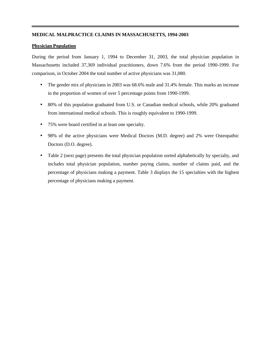#### **MEDICAL MALPRACTICE CLAIMS IN MASSACHUSETTS, 1994-2003**

#### **Physician Population**

During the period from January 1, 1994 to December 31, 2003, the total physician population in Massachusetts included 37,369 individual practitioners, down 7.6% from the period 1990-1999. For comparison, in October 2004 the total number of active physicians was 31,080.

- The gender mix of physicians in 2003 was 68.6% male and 31.4% female. This marks an increase in the proportion of women of over 5 percentage points from 1990-1999.
- 80% of this population graduated from U.S. or Canadian medical schools, while 20% graduated from international medical schools. This is roughly equivalent to 1990-1999.
- 75% were board certified in at least one specialty.
- 98% of the active physicians were Medical Doctors (M.D. degree) and 2% were Osteopathic Doctors (D.O. degree).
- Table 2 (next page) presents the total physician population sorted alphabetically by specialty, and includes total physician population, number paying claims, number of claims paid, and the percentage of physicians making a payment. Table 3 displays the 15 specialties with the highest percentage of physicians making a payment.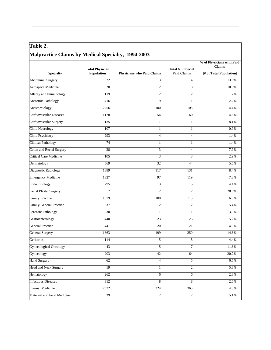# **Table 2. Malpractice Claims by Medical Specialty, 1994-2003**

|                                | <b>Total Physician</b> |                            | <b>Total Number of</b> | % of Physicians with Paid<br><b>Claims</b> |  |
|--------------------------------|------------------------|----------------------------|------------------------|--------------------------------------------|--|
| <b>Specialty</b>               | Population             | Physicians who Paid Claims | <b>Paid Claims</b>     | [# of Total Population]                    |  |
| <b>Abdominal Surgery</b>       | $\overline{22}$        | 3                          | $\overline{4}$         | 13.6%                                      |  |
| Aerospace Medicine             | 20                     | $\overline{c}$             | 3                      | 10.0%                                      |  |
| Allergy and Immunology         | 119                    | $\overline{2}$             | $\overline{c}$         | 1.7%                                       |  |
| <b>Anatomic Pathology</b>      | 416                    | 9                          | 11                     | 2.2%                                       |  |
| Anesthesiology                 | 2256                   | 100                        | 103                    | 4.4%                                       |  |
| <b>Cardiovascular Diseases</b> | 1178                   | 54                         | 60                     | 4.6%                                       |  |
| Cardiovascular Surgery         | 135                    | 11                         | 11                     | 8.1%                                       |  |
| <b>Child Neurology</b>         | 107                    | $\mathbf{1}$               | $\mathbf{1}$           | 0.9%                                       |  |
| Child Psychiatry               | 293                    | $\overline{4}$             | $\overline{4}$         | 1.4%                                       |  |
| <b>Clinical Pathology</b>      | 74                     | 1                          | 1                      | 1.4%                                       |  |
| Colon and Rectal Surgery       | 38                     | 3                          | $\overline{4}$         | 7.9%                                       |  |
| <b>Critical Care Medicine</b>  | 105                    | 3                          | 3                      | 2.9%                                       |  |
| Dermatology                    | 569                    | 32                         | 44                     | 5.6%                                       |  |
| Diagnostic Radiology           | 1389                   | 117                        | 131                    | 8.4%                                       |  |
| <b>Emergency Medicine</b>      | 1327                   | 97                         | 119                    | 7.3%                                       |  |
| Endocrinology                  | 295                    | 13                         | 15                     | 4.4%                                       |  |
| <b>Facial Plastic Surgery</b>  | $\overline{7}$         | $\overline{2}$             | $\overline{c}$         | 28.6%                                      |  |
| <b>Family Practice</b>         | 1679                   | 100                        | 113                    | 6.0%                                       |  |
| Family/General Practice        | 37                     | $\overline{2}$             | $\overline{2}$         | 5.4%                                       |  |
| <b>Forensic Pathology</b>      | $\overline{30}$        | 1                          | $\mathbf{1}$           | 3.3%                                       |  |
| Gastroenterology               | 440                    | 23                         | 25                     | 5.2%                                       |  |
| <b>General Practice</b>        | 441                    | 20                         | 21                     | 4.5%                                       |  |
| <b>General Surgery</b>         | 1363                   | 199                        | 250                    | 14.6%                                      |  |
| Geriatrics                     | 114                    | 5                          | 5                      | 4.4%                                       |  |
| <b>Gynecological Oncology</b>  | 43                     | 5                          | $\tau$                 | 11.6%                                      |  |
| Gynecology                     | 203                    | 42                         | 64                     | 20.7%                                      |  |
| <b>Hand Surgery</b>            | 62                     | 4                          | 5                      | 6.5%                                       |  |
| Head and Neck Surgery          | 19                     | 1                          | $\overline{c}$         | 5.3%                                       |  |
| Hematology                     | 262                    | $\overline{6}$             | 6                      | 2.3%                                       |  |
| <b>Infectious Diseases</b>     | 312                    | $\overline{8}$             | $\bf 8$                | 2.6%                                       |  |
| <b>Internal Medicine</b>       | 7532                   | 324                        | 363                    | 4.3%                                       |  |
| Maternal and Fetal Medicine    | 39                     | $\overline{2}$             | $\overline{2}$         | 5.1%                                       |  |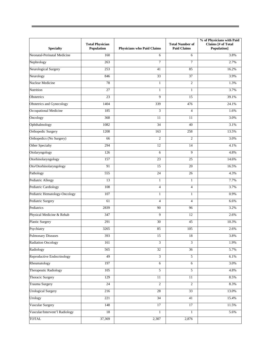| <b>Specialty</b>               | <b>Total Physician</b><br>Population | <b>Physicians who Paid Claims</b> | <b>Total Number of</b><br><b>Paid Claims</b> | % of Physicians with Paid<br>Claims [# of Total<br><b>Population</b> ] |
|--------------------------------|--------------------------------------|-----------------------------------|----------------------------------------------|------------------------------------------------------------------------|
| Neonatal-Perinatal Medicine    | 160                                  | 6                                 | 6                                            | 3.8%                                                                   |
| Nephrology                     | 263                                  | $\overline{7}$                    | $\overline{7}$                               | 2.7%                                                                   |
| Neurological Surgery           | 253                                  | 41                                | 85                                           | 16.2%                                                                  |
| Neurology                      | 846                                  | 33                                | 37                                           | 3.9%                                                                   |
| Nuclear Medicine               | 78                                   | $\mathbf{1}$                      | $\overline{2}$                               | 1.3%                                                                   |
| Nutrition                      | 27                                   | $\mathbf{1}$                      | $\mathbf{1}$                                 | 3.7%                                                                   |
| Obstetrics                     | 23                                   | 9                                 | 15                                           | 39.1%                                                                  |
| Obstetrics and Gynecology      | 1404                                 | 339                               | 476                                          | 24.1%                                                                  |
| Occupational Medicine          | 185                                  | 3                                 | $\overline{4}$                               | 1.6%                                                                   |
| Oncology                       | 368                                  | 11                                | 11                                           | 3.0%                                                                   |
| Ophthalmology                  | 1082                                 | $\overline{34}$                   | 40                                           | 3.1%                                                                   |
| <b>Orthopedic Surgery</b>      | 1208                                 | 163                               | 258                                          | 13.5%                                                                  |
| Orthopedics (No Surgery)       | 66                                   | $\overline{2}$                    | $\overline{2}$                               | 3.0%                                                                   |
| Other Specialty                | 294                                  | 12                                | 14                                           | 4.1%                                                                   |
| Otolaryngology                 | 126                                  | 6                                 | 9                                            | 4.8%                                                                   |
| Otorhinolaryngology            | 157                                  | $\overline{23}$                   | $\overline{25}$                              | 14.6%                                                                  |
| Oto/Otorhinolaryngology        | 91                                   | 15                                | 20                                           | 16.5%                                                                  |
| Pathology                      | 555                                  | 24                                | 26                                           | 4.3%                                                                   |
| Pediatric Allergy              | 13                                   | $\mathbf{1}$                      | $\mathbf{1}$                                 | 7.7%                                                                   |
| Pediatric Cardiology           | 108                                  | $\overline{4}$                    | $\overline{4}$                               | 3.7%                                                                   |
| Pediatric Hematology-Oncology  | 107                                  | $\mathbf{1}$                      | $\mathbf{1}$                                 | 0.9%                                                                   |
| Pediatric Surgery              | 61                                   | $\overline{4}$                    | $\overline{4}$                               | 6.6%                                                                   |
| Pediatrics                     | 2839                                 | 90                                | 96                                           | 3.2%                                                                   |
| Physical Medicine & Rehab      | 347                                  | 9                                 | 12                                           | 2.6%                                                                   |
| <b>Plastic Surgery</b>         | 291                                  | 30                                | 45                                           | 10.3%                                                                  |
| Psychiatry                     | 3265                                 | 85                                | 105                                          | 2.6%                                                                   |
| <b>Pulmonary Diseases</b>      | 393                                  | 15                                | 18                                           | 3.8%                                                                   |
| <b>Radiation Oncology</b>      | 161                                  | 3                                 | 3                                            | 1.9%                                                                   |
| Radiology                      | 565                                  | 32                                | 36                                           | 5.7%                                                                   |
| Reproductive Endocrinology     | 49                                   | $\mathfrak{Z}$                    | 5                                            | 6.1%                                                                   |
| Rheumatology                   | 197                                  | 6                                 | $\overline{6}$                               | 3.0%                                                                   |
| Therapeutic Radiology          | 105                                  | 5                                 | 5                                            | 4.8%                                                                   |
| Thoracic Surgery               | 129                                  | 11                                | 11                                           | 8.5%                                                                   |
| Trauma Surgery                 | 24                                   | $\overline{c}$                    | $\overline{c}$                               | 8.3%                                                                   |
| <b>Urological Surgery</b>      | 216                                  | 28                                | 33                                           | 13.0%                                                                  |
| Urology                        | 221                                  | 34                                | 41                                           | 15.4%                                                                  |
| Vascular Surgery               | 148                                  | 17                                | 17                                           | 11.5%                                                                  |
| Vascular/Intervent'l Radiology | 18                                   | $\mathbf{1}$                      | 1                                            | 5.6%                                                                   |
| <b>TOTAL</b>                   | 37,369                               | 2,307                             | 2,876                                        |                                                                        |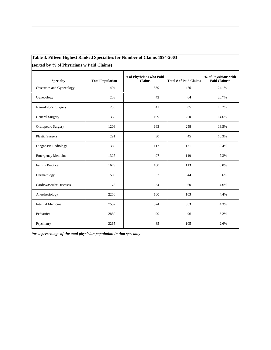| Table 3. Fifteen Highest Ranked Specialties for Number of Claims 1994-2003 |  |  |  |  |
|----------------------------------------------------------------------------|--|--|--|--|
|                                                                            |  |  |  |  |

**(sorted by % of Physicians w Paid Claims)**

| <b>Specialty</b>          | <b>Total Population</b> | # of Physicians who Paid<br><b>Claims</b> | <b>Total # of Paid Claims</b> | % of Physicians with<br>Paid Claims* |
|---------------------------|-------------------------|-------------------------------------------|-------------------------------|--------------------------------------|
| Obstetrics and Gynecology | 1404                    | 339                                       | 476                           | 24.1%                                |
| Gynecology                | 203                     | 42                                        | 64                            | 20.7%                                |
| Neurological Surgery      | 253                     | 41                                        | 85                            | 16.2%                                |
| General Surgery           | 1363                    | 199                                       | 250                           | 14.6%                                |
| Orthopedic Surgery        | 1208                    | 163                                       | 258                           | 13.5%                                |
| Plastic Surgery           | 291                     | 30                                        | 45                            | 10.3%                                |
| Diagnostic Radiology      | 1389                    | 117                                       | 131                           | 8.4%                                 |
| <b>Emergency Medicine</b> | 1327                    | 97                                        | 119                           | 7.3%                                 |
| <b>Family Practice</b>    | 1679                    | 100                                       | 113                           | 6.0%                                 |
| Dermatology               | 569                     | 32                                        | 44                            | 5.6%                                 |
| Cardiovascular Diseases   | 1178                    | 54                                        | 60                            | 4.6%                                 |
| Anesthesiology            | 2256                    | 100                                       | 103                           | 4.4%                                 |
| <b>Internal Medicine</b>  | 7532                    | 324                                       | 363                           | 4.3%                                 |
| Pediatrics                | 2839                    | 90                                        | 96                            | 3.2%                                 |
| Psychiatry                | 3265                    | 85                                        | 105                           | 2.6%                                 |

*\*as a percentage of the total physician population in that specialty*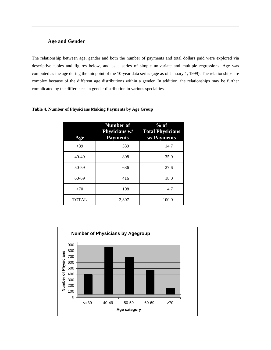# **Age and Gender**

The relationship between age, gender and both the number of payments and total dollars paid were explored via descriptive tables and figures below, and as a series of simple univariate and multiple regressions. Age was computed as the age during the midpoint of the 10-year data series (age as of January 1, 1999). The relationships are complex because of the different age distributions within a gender. In addition, the relationships may be further complicated by the differences in gender distribution in various specialties.

| Age          | <b>Number of</b><br><b>Payments</b> | $%$ of<br>Physicians w/ Total Physicians<br>w/ Payments |
|--------------|-------------------------------------|---------------------------------------------------------|
| < 39         | 339                                 | 14.7                                                    |
| $40 - 49$    | 808                                 | 35.0                                                    |
| 50-59        | 636                                 | 27.6                                                    |
| $60 - 69$    | 416                                 | 18.0                                                    |
| >70          | 108                                 | 4.7                                                     |
| <b>TOTAL</b> | 2,307                               | 100.0                                                   |

### **Table 4. Number of Physicians Making Payments by Age Group**

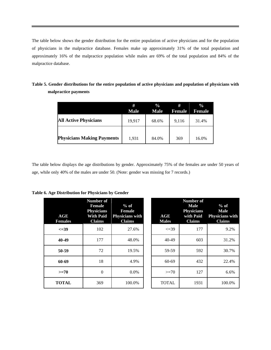The table below shows the gender distribution for the entire population of active physicians and for the population of physicians in the malpractice database. Females make up approximately 31% of the total population and approximately 16% of the malpractice population while males are 69% of the total population and 84% of the malpractice database.

|                                   | #<br><b>Male</b> | $\frac{6}{9}$<br><b>Male</b> | #<br>Female | $\frac{0}{0}$<br><b>Female</b> |
|-----------------------------------|------------------|------------------------------|-------------|--------------------------------|
| <b>All Active Physicians</b>      | 19,917           | 68.6%                        | 9,116       | 31.4%                          |
| <b>Physicians Making Payments</b> | 1.931            | 84.0%                        | 369         | 16.0%                          |

**Table 5. Gender distributions for the entire population of active physicians and population of physicians with malpractice payments**

The table below displays the age distributions by gender. Approximately 75% of the females are under 50 years of age, while only 40% of the males are under 50. (Note: gender was missing for 7 records.)

| AGE<br><b>Females</b> | Number of<br>Female<br><b>Physicians</b><br><b>Claims</b> | $%$ of<br><b>Female</b><br>With Paid Physicians with<br><b>Claims</b> |
|-----------------------|-----------------------------------------------------------|-----------------------------------------------------------------------|
| $\leq 39$             | 102                                                       | 27.6%                                                                 |
| 40-49                 | 177                                                       | 48.0%                                                                 |
| 50-59                 | 72                                                        | 19.5%                                                                 |
| 60-69                 | 18                                                        | 4.9%                                                                  |
| $>=70$                | 0                                                         | 0.0%                                                                  |
| <b>TOTAL</b>          | 369                                                       | 100.0%                                                                |

| AGE<br><b>Females</b> | Number of<br><b>Female</b><br><b>Physicians</b><br><b>With Paid</b><br><b>Claims</b> | $%$ of<br><b>Female</b><br><b>Physicians with</b><br><b>Claims</b> | AGE<br><b>Males</b> | <b>Number of</b><br><b>Male</b><br><b>Physicians</b><br>with Paid<br><b>Claims</b> | $%$ of<br><b>Male</b><br><b>Physicians with</b><br><b>Claims</b> |
|-----------------------|--------------------------------------------------------------------------------------|--------------------------------------------------------------------|---------------------|------------------------------------------------------------------------------------|------------------------------------------------------------------|
| $\leq 39$             | 102                                                                                  | 27.6%                                                              | $\leq 39$           | 177                                                                                | 9.2%                                                             |
| 40-49                 | 177                                                                                  | 48.0%                                                              | $40-49$             | 603                                                                                | 31.2%                                                            |
| 50-59                 | 72                                                                                   | 19.5%                                                              | 59-59               | 592                                                                                | 30.7%                                                            |
| 60-69                 | 18                                                                                   | 4.9%                                                               | 60-69               | 432                                                                                | 22.4%                                                            |
| $>=70$                | $\theta$                                                                             | 0.0%                                                               | $>=70$              | 127                                                                                | 6.6%                                                             |
| <b>TOTAL</b>          | 369                                                                                  | 100.0%                                                             | <b>TOTAL</b>        | 1931                                                                               | 100.0%                                                           |
|                       |                                                                                      |                                                                    |                     |                                                                                    |                                                                  |

**Table 6. Age Distribution for Physicians by Gender**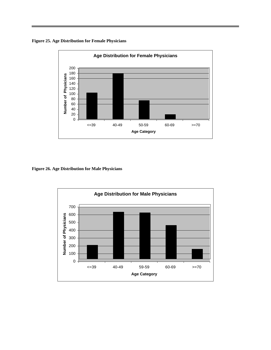**Figure 25. Age Distribution for Female Physicians**



**Figure 26. Age Distribution for Male Physicians**

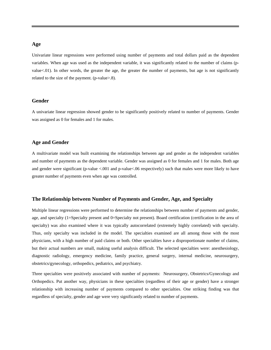#### **Age**

Univariate linear regressions were performed using number of payments and total dollars paid as the dependent variables. When age was used as the independent variable, it was significantly related to the number of claims (pvalue<.01). In other words, the greater the age, the greater the number of payments, but age is not significantly related to the size of the payment. (p-value>.8).

#### **Gender**

A univariate linear regression showed gender to be significantly positively related to number of payments. Gender was assigned as 0 for females and 1 for males.

#### **Age and Gender**

A multivariate model was built examining the relationships between age and gender as the independent variables and number of payments as the dependent variable. Gender was assigned as 0 for females and 1 for males. Both age and gender were significant (p-value <.001 and p-value <.06 respectively) such that males were more likely to have greater number of payments even when age was controlled.

#### **The Relationship between Number of Payments and Gender, Age, and Specialty**

Multiple linear regressions were performed to determine the relationships between number of payments and gender, age, and specialty (1=Specialty present and 0=Specialty not present). Board certification (certification in the area of specialty) was also examined where it was typically autocorrelated (extremely highly correlated) with specialty. Thus, only specialty was included in the model. The specialties examined are all among those with the most physicians, with a high number of paid claims or both. Other specialties have a disproportionate number of claims, but their actual numbers are small, making useful analysis difficult. The selected specialties were: anesthesiology, diagnostic radiology, emergency medicine, family practice, general surgery, internal medicine, neurosurgery, obstetrics/gynecology, orthopedics, pediatrics, and psychiatry.

Three specialties were positively associated with number of payments: Neurosurgery, Obstetrics/Gynecology and Orthopedics. Put another way, physicians in these specialties (regardless of their age or gender) have a stronger relationship with increasing number of payments compared to other specialties. One striking finding was that regardless of specialty, gender and age were very significantly related to number of payments.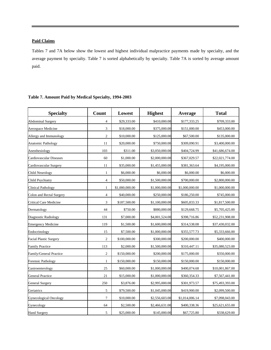#### **Paid Claims**

Tables 7 and 7A below show the lowest and highest individual malpractice payments made by specialty, and the average payment by specialty. Table 7 is sorted alphabetically by specialty. Table 7A is sorted by average amount paid.

| <b>Specialty</b>              | Count                   | Lowest         | <b>Highest</b> | Average        | <b>Total</b>    |
|-------------------------------|-------------------------|----------------|----------------|----------------|-----------------|
| <b>Abdominal Surgery</b>      | 4                       | \$29,333.00    | \$410,000.00   | \$177,333.25   | \$709,333.00    |
| Aerospace Medicine            | 3                       | \$18,000.00    | \$375,000.00   | \$151,000.00   | \$453,000.00    |
| Allergy and Immunology        | $\overline{c}$          | \$10,000.00    | \$125,000.00   | \$67,500.00    | \$135,000.00    |
| <b>Anatomic Pathology</b>     | 11                      | \$20,000.00    | \$750,000.00   | \$309,090.91   | \$3,400,000.00  |
| Anesthesiology                | 103                     | \$311.00       | \$3,050,000.00 | \$404,724.99   | \$41,686,674.00 |
| Cardiovascular Diseases       | 60                      | \$1,000.00     | \$2,000,000.00 | \$367,029.57   | \$22,021,774.00 |
| Cardiovascular Surgery        | 11                      | \$35,000.00    | \$1,455,000.00 | \$381,363.64   | \$4,195,000.00  |
| Child Neurology               | $\mathbf{1}$            | \$6,000.00     | \$6,000.00     | \$6,000.00     | \$6,000.00      |
| Child Psychiatry              | $\overline{4}$          | \$50,000.00    | \$1,500,000.00 | \$700,000.00   | \$2,800,000.00  |
| Clinical Pathology            | $\mathbf{1}$            | \$1,000,000.00 | \$1,000,000.00 | \$1,000,000.00 | \$1,000,000.00  |
| Colon and Rectal Surgery      | $\overline{\mathbf{4}}$ | \$40,000.00    | \$250,000.00   | \$186,250.00   | \$745,000.00    |
| Critical Care Medicine        | 3                       | \$187,500.00   | \$1,100,000.00 | \$605,833.33   | \$1,817,500.00  |
| Dermatology                   | 44                      | \$750.00       | \$880,000.00   | \$129,668.75   | \$5,705,425.00  |
| Diagnostic Radiology          | 131                     | \$7,000.00     | \$4,001,524.00 | \$398,716.86   | \$52,231,908.00 |
| <b>Emergency Medicine</b>     | 119                     | \$1,500.00     | \$1,600,000.00 | \$314,538.08   | \$37,430,032.00 |
| Endocrinology                 | 15                      | \$7,500.00     | \$1,000,000.00 | \$355,577.73   | \$5,333,666.00  |
| <b>Facial Plastic Surgery</b> | $\overline{c}$          | \$100,000.00   | \$300,000.00   | \$200,000.00   | \$400,000.00    |
| <b>Family Practice</b>        | 113                     | \$2,000.00     | \$1,500,000.00 | \$310,447.11   | \$35,080,523.00 |
| Family/General Practice       | $\overline{c}$          | \$150,000.00   | \$200,000.00   | \$175,000.00   | \$350,000.00    |
| <b>Forensic Pathology</b>     | 1                       | \$150,000.00   | \$150,000.00   | \$150,000.00   | \$150,000.00    |
| Gastroenterology              | 25                      | \$60,000.00    | \$1,000,000.00 | \$400,074.68   | \$10,001,867.00 |
| <b>General Practice</b>       | 21                      | \$15,000.00    | \$1,000,000.00 | \$360,354.33   | \$7,567,441.00  |
| <b>General Surgery</b>        | 250                     | \$3,876.00     | \$2,995,000.00 | \$301,973.57   | \$75,493,393.00 |
| Geriatrics                    | 5                       | \$79,500.00    | \$1,045,000.00 | \$419,900.00   | \$2,099,500.00  |
| Gynecological Oncology        | 7                       | \$10,000.00    | \$2,556,603.00 | \$1,014,006.14 | \$7,098,043.00  |
| Gynecology                    | 64                      | \$2,500.00     | \$2,466,631.00 | \$400,338.36   | \$25,621,655.00 |
| <b>Hand Surgery</b>           | 5                       | \$25,000.00    | \$145,000.00   | \$67,725.80    | \$338,629.00    |

#### **Table 7. Amount Paid by Medical Specialty, 1994-2003**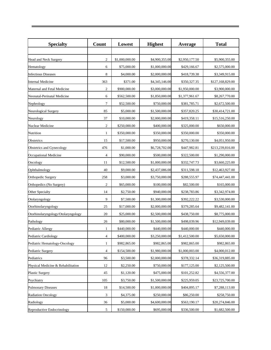| <b>Specialty</b>                   | Count          | Lowest         | <b>Highest</b> | Average        | <b>Total</b>     |
|------------------------------------|----------------|----------------|----------------|----------------|------------------|
|                                    |                |                |                |                |                  |
| Head and Neck Surgery              | $\overline{c}$ | \$1,000,000.00 | \$4,900,355.00 | \$2,950,177.50 | \$5,900,355.00   |
| Hematology                         | 6              | \$75,000.00    | \$1,000,000.00 | \$429,166.67   | \$2,575,000.00   |
| <b>Infectious Diseases</b>         | 8              | \$4,000.00     | \$2,000,000.00 | \$418,739.38   | \$3,349,915.00   |
| <b>Internal Medicine</b>           | 363            | \$371.00       | \$4,345,146.00 | \$350,327.35   | \$127,168,829.00 |
| Maternal and Fetal Medicine        | 2              | \$900,000.00   | \$3,000,000.00 | \$1,950,000.00 | \$3,900,000.00   |
| Neonatal-Perinatal Medicine        | 6              | \$562,500.00   | \$1,850,000.00 | \$1,377,961.67 | \$8,267,770.00   |
| Nephrology                         | 7              | \$52,500.00    | \$750,000.00   | \$381,785.71   | \$2,672,500.00   |
| Neurological Surgery               | 85             | \$5,000.00     | \$1,500,000.00 | \$357,820.25   | \$30,414,721.00  |
| Neurology                          | 37             | \$10,000.00    | \$2,000,000.00 | \$419,358.11   | \$15,516,250.00  |
| Nuclear Medicine                   | 2              | \$250,000.00   | \$400,000.00   | \$325,000.00   | \$650,000.00     |
| Nutrition                          | 1              | \$350,000.00   | \$350,000.00   | \$350,000.00   | \$350,000.00     |
| Obstetrics                         | 15             | \$17,500.00    | \$950,000.00   | \$270,130.00   | \$4,051,950.00   |
| Obstetrics and Gynecology          | 476            | \$1,000.00     | \$6,728,702.00 | \$447,982.81   | \$213,239,816.00 |
| Occupational Medicine              | $\overline{4}$ | \$90,000.00    | \$500,000.00   | \$322,500.00   | \$1,290,000.00   |
| Oncology                           | 11             | \$12,500.00    | \$1,000,000.00 | \$332,747.73   | \$3,660,225.00   |
| Ophthalmology                      | 40             | \$9,000.00     | \$2,437,086.00 | \$311,598.18   | \$12,463,927.00  |
| Orthopedic Surgery                 | 258            | \$3,000.00     | \$3,750,000.00 | \$288,555.97   | \$74,447,441.00  |
| Orthopedics (No Surgery)           | $\mathfrak{2}$ | \$65,000.00    | \$100,000.00   | \$82,500.00    | \$165,000.00     |
| Other Specialty                    | 14             | \$2,750.00     | \$940,000.00   | \$238,783.86   | \$3,342,974.00   |
| Otolaryngology                     | 9              | \$7,500.00     | \$1,300,000.00 | \$392,222.22   | \$3,530,000.00   |
| Otorhinolaryngology                | 25             | \$17,000.00    | \$2,000,000.00 | \$379,285.64   | \$9,482,141.00   |
| Otorhinolaryngology/Otolaryngology | 20             | \$25,000.00    | \$2,500,000.00 | \$438,750.00   | \$8,775,000.00   |
| Pathology                          | 26             | \$80,000.00    | \$1,500,000.00 | \$498,039.96   | \$12,949,039.00  |
| Pediatric Allergy                  | 1              | \$440,000.00   | \$440,000.00   | \$440,000.00   | \$440,000.00     |
| Pediatric Cardiology               | 4              | \$400,000.00   | \$3,250,000.00 | \$1,412,500.00 | \$5,650,000.00   |
| Pediatric Hematology-Oncology      | 1              | \$982,865.00   | \$982,865.00   | \$982,865.00   | \$982,865.00     |
| Pediatric Surgery                  | 4              | \$154,500.00   | \$1,980,000.00 | \$1,000,003.00 | \$4,000,012.00   |
| Pediatrics                         | 96             | \$3,500.00     | \$2,000,000.00 | \$378,332.14   | \$36,319,885.00  |
| Physical Medicine & Rehabilitation | 12             | \$2,250.00     | \$750,000.00   | \$177,125.00   | \$2,125,500.00   |
| <b>Plastic Surgery</b>             | 45             | \$1,120.00     | \$475,000.00   | \$101,252.82   | \$4,556,377.00   |
| Psychiatry                         | 105            | \$3,750.00     | \$1,500,000.00 | \$225,959.05   | \$23,725,700.00  |
| <b>Pulmonary Diseases</b>          | 18             | \$14,500.00    | \$1,000,000.00 | \$404,895.17   | \$7,288,113.00   |
| <b>Radiation Oncology</b>          | 3              | \$4,375.00     | \$250,000.00   | \$86,250.00    | \$258,750.00     |
| Radiology                          | 36             | \$5,000.00     | \$4,600,000.00 | \$563,190.17   | \$20,274,846.00  |
| Reproductive Endocrinology         | 5              | \$150,000.00   | \$695,000.00   | \$336,500.00   | \$1,682,500.00   |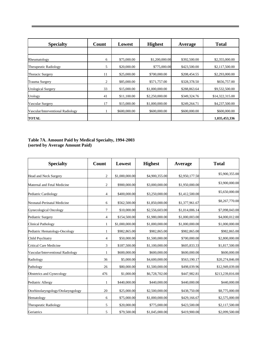| <b>Specialty</b>                  | Count | Lowest       | <b>Highest</b> | Average      | <b>Total</b>    |
|-----------------------------------|-------|--------------|----------------|--------------|-----------------|
|                                   |       |              |                |              |                 |
| Rheumatology                      | 6     | \$75,000.00  | \$1,200,000.00 | \$392,500.00 | \$2,355,000.00  |
| Therapeutic Radiology             | 5     | \$20,000.00  | \$775,000.00   | \$423,500.00 | \$2,117,500.00  |
| Thoracic Surgery                  | 11    | \$25,000.00  | \$700,000.00   | \$208,454.55 | \$2,293,000.00  |
| Trauma Surgery                    | 2     | \$85,000.00  | \$571,757.00   | \$328,378.50 | \$656,757.00    |
| <b>Urological Surgery</b>         | 33    | \$15,000.00  | \$1,000,000.00 | \$288,863.64 | \$9,532,500.00  |
| Urology                           | 41    | \$11,100.00  | \$2,250,000.00 | \$349,324.76 | \$14,322,315.00 |
| Vascular Surgery                  | 17    | \$15,000.00  | \$1,000,000.00 | \$249,264.71 | \$4,237,500.00  |
| Vascular/Interventional Radiology |       | \$600,000.00 | \$600,000.00   | \$600,000.00 | \$600,000.00    |
| <b>TOTAL</b>                      |       |              |                |              | 1,035,453,336   |

#### **Table 7A. Amount Paid by Medical Specialty, 1994-2003 (sorted by Average Amount Paid)**

| <b>Specialty</b>                   | Count          | Lowest         | <b>Highest</b> | Average        | <b>Total</b>     |
|------------------------------------|----------------|----------------|----------------|----------------|------------------|
| <b>Head and Neck Surgery</b>       | 2              | \$1,000,000.00 | \$4,900,355.00 | \$2,950,177.50 | \$5,900,355.00   |
| Maternal and Fetal Medicine        | $\overline{c}$ | \$900,000.00   | \$3,000,000.00 | \$1,950,000.00 | \$3,900,000.00   |
| Pediatric Cardiology               | 4              | \$400,000.00   | \$3,250,000.00 | \$1,412,500.00 | \$5,650,000.00   |
| Neonatal-Perinatal Medicine        | 6              | \$562,500.00   | \$1,850,000.00 | \$1,377,961.67 | \$8,267,770.00   |
| <b>Gynecological Oncology</b>      | 7              | \$10,000.00    | \$2,556,603.00 | \$1,014,006.14 | \$7,098,043.00   |
| Pediatric Surgery                  | 4              | \$154,500.00   | \$1,980,000.00 | \$1,000,003.00 | \$4,000,012.00   |
| <b>Clinical Pathology</b>          |                | \$1,000,000.00 | \$1,000,000.00 | \$1,000,000.00 | \$1,000,000.00   |
| Pediatric Hematology-Oncology      |                | \$982,865.00   | \$982,865.00   | \$982,865.00   | \$982,865.00     |
| Child Psychiatry                   | 4              | \$50,000.00    | \$1,500,000.00 | \$700,000.00   | \$2,800,000.00   |
| <b>Critical Care Medicine</b>      | 3              | \$187,500.00   | \$1,100,000.00 | \$605,833.33   | \$1,817,500.00   |
| Vascular/Interventional Radiology  |                | \$600,000.00   | \$600,000.00   | \$600,000.00   | \$600,000.00     |
| Radiology                          | 36             | \$5,000.00     | \$4,600,000.00 | \$563,190.17   | \$20,274,846.00  |
| Pathology                          | 26             | \$80,000.00    | \$1,500,000.00 | \$498,039.96   | \$12,949,039.00  |
| Obstetrics and Gynecology          | 476            | \$1,000.00     | \$6,728,702.00 | \$447,982.81   | \$213,239,816.00 |
| Pediatric Allergy                  |                | \$440,000.00   | \$440,000.00   | \$440,000.00   | \$440,000.00     |
| Otorhinolaryngology/Otolaryngology | 20             | \$25,000.00    | \$2,500,000.00 | \$438,750.00   | \$8,775,000.00   |
| Hematology                         | 6              | \$75,000.00    | \$1,000,000.00 | \$429,166.67   | \$2,575,000.00   |
| Therapeutic Radiology              | 5              | \$20,000.00    | \$775,000.00   | \$423,500.00   | \$2,117,500.00   |
| Geriatrics                         | 5              | \$79,500.00    | \$1,045,000.00 | \$419,900.00   | \$2,099,500.00   |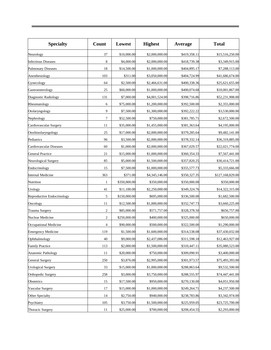| <b>Specialty</b>           | Count          | Lowest       | <b>Highest</b> | Average      | <b>Total</b>     |
|----------------------------|----------------|--------------|----------------|--------------|------------------|
| Neurology                  | 37             | \$10,000.00  | \$2,000,000.00 | \$419,358.11 | \$15,516,250.00  |
| <b>Infectious Diseases</b> | 8              | \$4,000.00   | \$2,000,000.00 | \$418,739.38 | \$3,349,915.00   |
| <b>Pulmonary Diseases</b>  | 18             | \$14,500.00  | \$1,000,000.00 | \$404,895.17 | \$7,288,113.00   |
| Anesthesiology             | 103            | \$311.00     | \$3,050,000.00 | \$404,724.99 | \$41,686,674.00  |
| Gynecology                 | 64             | \$2,500.00   | \$2,466,631.00 | \$400,338.36 | \$25,621,655.00  |
| Gastroenterology           | 25             | \$60,000.00  | \$1,000,000.00 | \$400,074.68 | \$10,001,867.00  |
| Diagnostic Radiology       | 131            | \$7,000.00   | \$4,001,524.00 | \$398,716.86 | \$52,231,908.00  |
| Rheumatology               | 6              | \$75,000.00  | \$1,200,000.00 | \$392,500.00 | \$2,355,000.00   |
| Otolaryngology             | 9              | \$7,500.00   | \$1,300,000.00 | \$392,222.22 | \$3,530,000.00   |
| Nephrology                 | 7              | \$52,500.00  | \$750,000.00   | \$381,785.71 | \$2,672,500.00   |
| Cardiovascular Surgery     | 11             | \$35,000.00  | \$1,455,000.00 | \$381,363.64 | \$4,195,000.00   |
| Otorhinolaryngology        | 25             | \$17,000.00  | \$2,000,000.00 | \$379,285.64 | \$9,482,141.00   |
| Pediatrics                 | 96             | \$3,500.00   | \$2,000,000.00 | \$378,332.14 | \$36,319,885.00  |
| Cardiovascular Diseases    | 60             | \$1,000.00   | \$2,000,000.00 | \$367,029.57 | \$22,021,774.00  |
| <b>General Practice</b>    | 21             | \$15,000.00  | \$1,000,000.00 | \$360,354.33 | \$7,567,441.00   |
| Neurological Surgery       | 85             | \$5,000.00   | \$1,500,000.00 | \$357,820.25 | \$30,414,721.00  |
| Endocrinology              | 15             | \$7,500.00   | \$1,000,000.00 | \$355,577.73 | \$5,333,666.00   |
| <b>Internal Medicine</b>   | 363            | \$371.00     | \$4,345,146.00 | \$350,327.35 | \$127,168,829.00 |
| Nutrition                  | 1              | \$350,000.00 | \$350,000.00   | \$350,000.00 | \$350,000.00     |
| Urology                    | 41             | \$11,100.00  | \$2,250,000.00 | \$349,324.76 | \$14,322,315.00  |
| Reproductive Endocrinology | 5              | \$150,000.00 | \$695,000.00   | \$336,500.00 | \$1,682,500.00   |
| Oncology                   | 11             | \$12,500.00  | \$1,000,000.00 | \$332,747.73 | \$3,660,225.00   |
| <b>Trauma Surgery</b>      | $\overline{c}$ | \$85,000.00  | \$571,757.00   | \$328,378.50 | \$656,757.00     |
| Nuclear Medicine           | 2              | \$250,000.00 | \$400,000.00   | \$325,000.00 | \$650,000.00     |
| Occupational Medicine      | 4              | \$90,000.00  | \$500,000.00   | \$322,500.00 | \$1,290,000.00   |
| <b>Emergency Medicine</b>  | 119            | \$1,500.00   | \$1,600,000.00 | \$314,538.08 | \$37,430,032.00  |
| Ophthalmology              | $40\,$         | \$9,000.00   | \$2,437,086.00 | \$311,598.18 | \$12,463,927.00  |
| <b>Family Practice</b>     | 113            | \$2,000.00   | \$1,500,000.00 | \$310,447.11 | \$35,080,523.00  |
| <b>Anatomic Pathology</b>  | 11             | \$20,000.00  | \$750,000.00   | \$309,090.91 | \$3,400,000.00   |
| <b>General Surgery</b>     | 250            | \$3,876.00   | \$2,995,000.00 | \$301,973.57 | \$75,493,393.00  |
| <b>Urological Surgery</b>  | 33             | \$15,000.00  | \$1,000,000.00 | \$288,863.64 | \$9,532,500.00   |
| Orthopedic Surgery         | 258            | \$3,000.00   | \$3,750,000.00 | \$288,555.97 | \$74,447,441.00  |
| Obstetrics                 | 15             | \$17,500.00  | \$950,000.00   | \$270,130.00 | \$4,051,950.00   |
| Vascular Surgery           | 17             | \$15,000.00  | \$1,000,000.00 | \$249,264.71 | \$4,237,500.00   |
| Other Specialty            | 14             | \$2,750.00   | \$940,000.00   | \$238,783.86 | \$3,342,974.00   |
| Psychiatry                 | 105            | \$3,750.00   | \$1,500,000.00 | \$225,959.05 | \$23,725,700.00  |
| Thoracic Surgery           | 11             | \$25,000.00  | \$700,000.00   | \$208,454.55 | \$2,293,000.00   |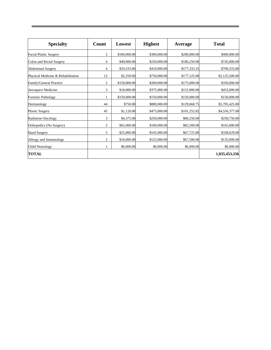| <b>Specialty</b>                   | Count          | Lowest       | <b>Highest</b> | Average      | <b>Total</b>   |
|------------------------------------|----------------|--------------|----------------|--------------|----------------|
| <b>Facial Plastic Surgery</b>      | 2              | \$100,000.00 | \$300,000.00   | \$200,000.00 | \$400,000.00   |
| Colon and Rectal Surgery           | 4              | \$40,000.00  | \$250,000.00   | \$186,250.00 | \$745,000.00   |
| <b>Abdominal Surgery</b>           | 4              | \$29,333.00  | \$410,000.00   | \$177,333.25 | \$709,333.00   |
| Physical Medicine & Rehabilitation | 12             | \$2,250.00   | \$750,000.00   | \$177,125.00 | \$2,125,500.00 |
| Family/General Practice            | 2              | \$150,000.00 | \$200,000.00   | \$175,000.00 | \$350,000.00   |
| Aerospace Medicine                 | 3              | \$18,000.00  | \$375,000.00   | \$151,000.00 | \$453,000.00   |
| <b>Forensic Pathology</b>          |                | \$150,000.00 | \$150,000.00   | \$150,000.00 | \$150,000.00   |
| Dermatology                        | 44             | \$750.00     | \$880,000.00   | \$129,668.75 | \$5,705,425.00 |
| <b>Plastic Surgery</b>             | 45             | \$1,120.00   | \$475,000.00   | \$101,252.82 | \$4,556,377.00 |
| <b>Radiation Oncology</b>          | 3              | \$4,375.00   | \$250,000.00   | \$86,250.00  | \$258,750.00   |
| Orthopedics (No Surgery)           | $\overline{c}$ | \$65,000.00  | \$100,000.00   | \$82,500.00  | \$165,000.00   |
| <b>Hand Surgery</b>                | 5              | \$25,000.00  | \$145,000.00   | \$67,725.80  | \$338,629.00   |
| Allergy and Immunology             | 2              | \$10,000.00  | \$125,000.00   | \$67,500.00  | \$135,000.00   |
| <b>Child Neurology</b>             |                | \$6,000.00   | \$6,000.00     | \$6,000.00   | \$6,000.00     |
| TOTAL                              |                |              |                |              | 1,035,453,336  |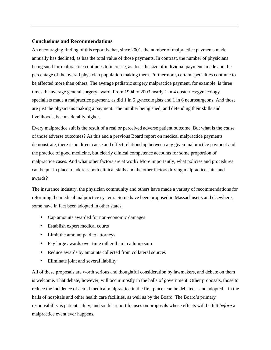#### **Conclusions and Recommendations**

An encouraging finding of this report is that, since 2001, the number of malpractice payments made annually has declined, as has the total value of those payments. In contrast, the number of physicians being sued for malpractice continues to increase, as does the size of individual payments made and the percentage of the overall physician population making them. Furthermore, certain specialties continue to be affected more than others. The average pediatric surgery malpractice payment, for example, is three times the average general surgery award. From 1994 to 2003 nearly 1 in 4 obstetrics/gynecology specialists made a malpractice payment, as did 1 in 5 gynecologists and 1 in 6 neurosurgeons. And those are just the physicians making a payment. The number being sued, and defending their skills and livelihoods, is considerably higher.

Every malpractice suit is the result of a real or perceived adverse patient outcome. But what is the *cause* of those adverse outcomes? As this and a previous Board report on medical malpractice payments demonstrate, there is no direct cause and effect relationship between any given malpractice payment and the practice of good medicine, but clearly clinical competence accounts for some proportion of malpractice cases. And what other factors are at work? More importantly, what policies and procedures can be put in place to address both clinical skills and the other factors driving malpractice suits and awards?

The insurance industry, the physician community and others have made a variety of recommendations for reforming the medical malpractice system. Some have been proposed in Massachusetts and elsewhere, some have in fact been adopted in other states:

- Cap amounts awarded for non-economic damages
- Establish expert medical courts
- Limit the amount paid to attorneys
- Pay large awards over time rather than in a lump sum
- Reduce awards by amounts collected from collateral sources
- Eliminate joint and several liability

All of these proposals are worth serious and thoughtful consideration by lawmakers, and debate on them is welcome. That debate, however, will occur mostly in the halls of government. Other proposals, those to reduce the incidence of actual medical malpractice in the first place, can be debated – and adopted – in the halls of hospitals and other health care facilities, as well as by the Board. The Board's primary responsibility is patient safety, and so this report focuses on proposals whose effects will be felt *before* a malpractice event ever happens.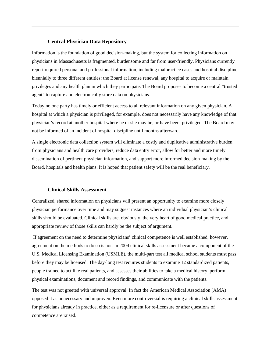#### **Central Physician Data Repository**

Information is the foundation of good decision-making, but the system for collecting information on physicians in Massachusetts is fragmented, burdensome and far from user-friendly. Physicians currently report required personal and professional information, including malpractice cases and hospital discipline, biennially to three different entities: the Board at license renewal, any hospital to acquire or maintain privileges and any health plan in which they participate. The Board proposes to become a central "trusted agent" to capture and electronically store data on physicians.

Today no one party has timely or efficient access to all relevant information on any given physician. A hospital at which a physician is privileged, for example, does not necessarily have any knowledge of that physician's record at another hospital where he or she may be, or have been, privileged. The Board may not be informed of an incident of hospital discipline until months afterward.

A single electronic data collection system will eliminate a costly and duplicative administrative burden from physicians and health care providers, reduce data entry error, allow for better and more timely dissemination of pertinent physician information, and support more informed decision-making by the Board, hospitals and health plans. It is hoped that patient safety will be the real beneficiary.

#### **Clinical Skills Assessment**

Centralized, shared information on physicians will present an opportunity to examine more closely physician performance over time and may suggest instances where an individual physician's clinical skills should be evaluated. Clinical skills are, obviously, the very heart of good medical practice, and appropriate review of those skills can hardly be the subject of argument.

 If agreement on the need to determine physicians' clinical competence is well established, however, agreement on the methods to do so is not. In 2004 clinical skills assessment became a component of the U.S. Medical Licensing Examination (USMLE), the multi-part test all medical school students must pass before they may be licensed. The day-long test requires students to examine 12 standardized patients, people trained to act like real patients, and assesses their abilities to take a medical history, perform physical examinations, document and record findings, and communicate with the patients.

The test was not greeted with universal approval. In fact the American Medical Association (AMA) opposed it as unnecessary and unproven. Even more controversial is requiring a clinical skills assessment for physicians already in practice, either as a requirement for re-licensure or after questions of competence are raised.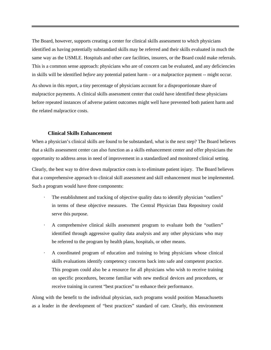The Board, however, supports creating a center for clinical skills assessment to which physicians identified as having potentially substandard skills may be referred and their skills evaluated in much the same way as the USMLE. Hospitals and other care facilities, insurers, or the Board could make referrals. This is a common sense approach: physicians who are of concern can be evaluated, and any deficiencies in skills will be identified *before* any potential patient harm – or a malpractice payment -- might occur.

As shown in this report, a tiny percentage of physicians account for a disproportionate share of malpractice payments. A clinical skills assessment center that could have identified these physicians before repeated instances of adverse patient outcomes might well have prevented both patient harm and the related malpractice costs.

#### **Clinical Skills Enhancement**

When a physician's clinical skills are found to be substandard, what is the next step? The Board believes that a skills assessment center can also function as a skills enhancement center and offer physicians the opportunity to address areas in need of improvement in a standardized and monitored clinical setting.

Clearly, the best way to drive down malpractice costs is to eliminate patient injury. The Board believes that a comprehensive approach to clinical skill assessment and skill enhancement must be implemented. Such a program would have three components:

- · The establishment and tracking of objective quality data to identify physician "outliers" in terms of these objective measures. The Central Physician Data Repository could serve this purpose.
- · A comprehensive clinical skills assessment program to evaluate both the "outliers" identified through aggressive quality data analysis and any other physicians who may be referred to the program by health plans, hospitals, or other means.
- · A coordinated program of education and training to bring physicians whose clinical skills evaluations identify competency concerns back into safe and competent practice. This program could also be a resource for all physicians who wish to receive training on specific procedures, become familiar with new medical devices and procedures, or receive training in current "best practices" to enhance their performance.

Along with the benefit to the individual physician, such programs would position Massachusetts as a leader in the development of "best practices" standard of care. Clearly, this environment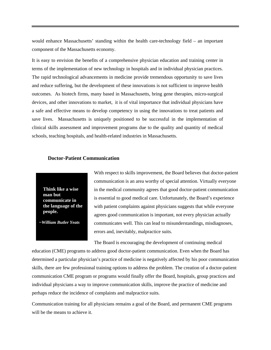would enhance Massachusetts' standing within the health care-technology field – an important component of the Massachusetts economy.

It is easy to envision the benefits of a comprehensive physician education and training center in terms of the implementation of new technology in hospitals and in individual physician practices. The rapid technological advancements in medicine provide tremendous opportunity to save lives and reduce suffering, but the development of these innovations is not sufficient to improve health outcomes. As biotech firms, many based in Massachusetts, bring gene therapies, micro-surgical devices, and other innovations to market, it is of vital importance that individual physicians have a safe and effective means to develop competency in using the innovations to treat patients and save lives. Massachusetts is uniquely positioned to be successful in the implementation of clinical skills assessment and improvement programs due to the quality and quantity of medical schools, teaching hospitals, and health-related industries in Massachusetts.

#### **Doctor-Patient Communication**

**Think like a wise man but communicate in the language of the people.** 

*~William Butler Yeats*

With respect to skills improvement, the Board believes that doctor-patient communication is an area worthy of special attention. Virtually everyone in the medical community agrees that good doctor-patient communication is essential to good medical care. Unfortunately, the Board's experience with patient complaints against physicians suggests that while everyone agrees good communication is important, not every physician actually communicates well. This can lead to misunderstandings, misdiagnoses, errors and, inevitably, malpractice suits.

The Board is encouraging the development of continuing medical

education (CME) programs to address good doctor-patient communication. Even when the Board has determined a particular physician's practice of medicine is negatively affected by his poor communication skills, there are few professional training options to address the problem. The creation of a doctor-patient communication CME program or programs would finally offer the Board, hospitals, group practices and individual physicians a way to improve communication skills, improve the practice of medicine and perhaps reduce the incidence of complaints and malpractice suits.

Communication training for all physicians remains a goal of the Board, and permanent CME programs will be the means to achieve it.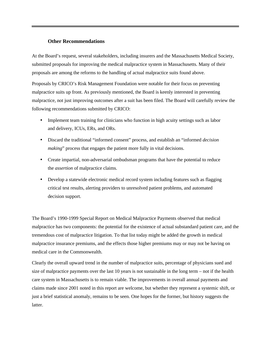### **Other Recommendations**

At the Board's request, several stakeholders, including insurers and the Massachusetts Medical Society, submitted proposals for improving the medical malpractice system in Massachusetts. Many of their proposals are among the reforms to the handling of actual malpractice suits found above.

Proposals by CRICO's Risk Management Foundation were notable for their focus on preventing malpractice suits up front. As previously mentioned, the Board is keenly interested in preventing malpractice, not just improving outcomes after a suit has been filed. The Board will carefully review the following recommendations submitted by CRICO:

- Implement team training for clinicians who function in high acuity settings such as labor and delivery, ICUs, ERs, and ORs.
- Discard the traditional "informed consent" process, and establish an "informed *decision making*" process that engages the patient more fully in vital decisions.
- Create impartial, non-adversarial ombudsman programs that have the potential to reduce the *assertion* of malpractice claims.
- Develop a statewide electronic medical record system including features such as flagging critical test results, alerting providers to unresolved patient problems, and automated decision support.

The Board's 1990-1999 Special Report on Medical Malpractice Payments observed that medical malpractice has two components: the potential for the existence of actual substandard patient care, and the tremendous cost of malpractice litigation. To that list today might be added the growth in medical malpractice insurance premiums, and the effects those higher premiums may or may not be having on medical care in the Commonwealth.

Clearly the overall upward trend in the number of malpractice suits, percentage of physicians sued and size of malpractice payments over the last 10 years is not sustainable in the long term – not if the health care system in Massachusetts is to remain viable. The improvements in overall annual payments and claims made since 2001 noted in this report are welcome, but whether they represent a systemic shift, or just a brief statistical anomaly, remains to be seen. One hopes for the former, but history suggests the latter.